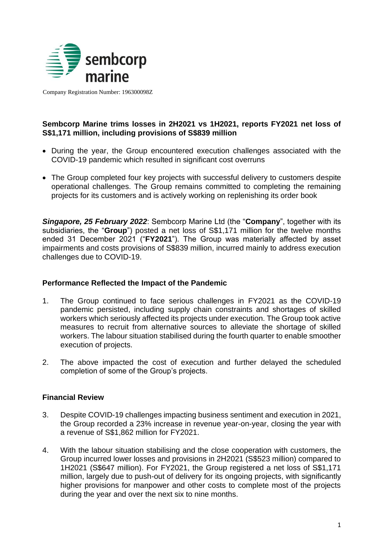

Company Registration Number: 196300098Z

## **Sembcorp Marine trims losses in 2H2021 vs 1H2021, reports FY2021 net loss of S\$1,171 million, including provisions of S\$839 million**

- During the year, the Group encountered execution challenges associated with the COVID-19 pandemic which resulted in significant cost overruns
- The Group completed four key projects with successful delivery to customers despite operational challenges. The Group remains committed to completing the remaining projects for its customers and is actively working on replenishing its order book

*Singapore, 25 February 2022*: Sembcorp Marine Ltd (the "**Company**", together with its subsidiaries, the "**Group**") posted a net loss of S\$1,171 million for the twelve months ended 31 December 2021 ("**FY2021**"). The Group was materially affected by asset impairments and costs provisions of S\$839 million, incurred mainly to address execution challenges due to COVID-19.

### **Performance Reflected the Impact of the Pandemic**

- 1. The Group continued to face serious challenges in FY2021 as the COVID-19 pandemic persisted, including supply chain constraints and shortages of skilled workers which seriously affected its projects under execution. The Group took active measures to recruit from alternative sources to alleviate the shortage of skilled workers. The labour situation stabilised during the fourth quarter to enable smoother execution of projects.
- 2. The above impacted the cost of execution and further delayed the scheduled completion of some of the Group's projects.

### **Financial Review**

- 3. Despite COVID-19 challenges impacting business sentiment and execution in 2021, the Group recorded a 23% increase in revenue year-on-year, closing the year with a revenue of S\$1,862 million for FY2021.
- 4. With the labour situation stabilising and the close cooperation with customers, the Group incurred lower losses and provisions in 2H2021 (S\$523 million) compared to 1H2021 (S\$647 million). For FY2021, the Group registered a net loss of S\$1,171 million, largely due to push-out of delivery for its ongoing projects, with significantly higher provisions for manpower and other costs to complete most of the projects during the year and over the next six to nine months.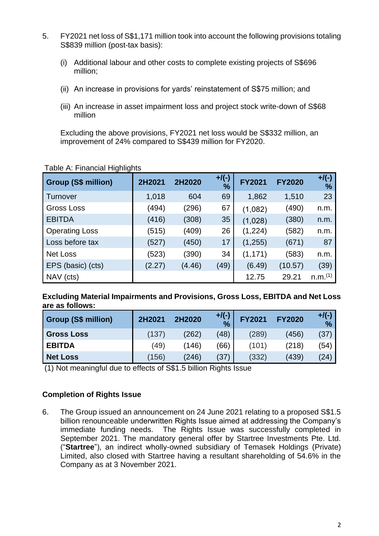- 5. FY2021 net loss of S\$1,171 million took into account the following provisions totaling S\$839 million (post-tax basis):
	- (i) Additional labour and other costs to complete existing projects of S\$696 million;
	- (ii) An increase in provisions for yards' reinstatement of S\$75 million; and
	- (iii) An increase in asset impairment loss and project stock write-down of S\$68 million

Excluding the above provisions, FY2021 net loss would be S\$332 million, an improvement of 24% compared to S\$439 million for FY2020.

| <b>Group (S\$ million)</b> | 2H2021 | 2H2020 | $+$ /(-)<br>$\frac{1}{2}$ | <b>FY2021</b> | <b>FY2020</b> | $+$ /(-)<br>$\%$    |
|----------------------------|--------|--------|---------------------------|---------------|---------------|---------------------|
| Turnover                   | 1,018  | 604    | 69                        | 1,862         | 1,510         | 23                  |
| <b>Gross Loss</b>          | (494)  | (296)  | 67                        | (1,082)       | (490)         | n.m.                |
| <b>EBITDA</b>              | (416)  | (308)  | 35                        | (1,028)       | (380)         | n.m.                |
| <b>Operating Loss</b>      | (515)  | (409)  | 26                        | (1,224)       | (582)         | n.m.                |
| Loss before tax            | (527)  | (450)  | 17                        | (1,255)       | (671)         | 87                  |
| Net Loss                   | (523)  | (390)  | 34                        | (1, 171)      | (583)         | n.m.                |
| EPS (basic) (cts)          | (2.27) | (4.46) | (49)                      | (6.49)        | (10.57)       | (39)                |
| NAV (cts)                  |        |        |                           | 12.75         | 29.21         | n.m. <sup>(1)</sup> |

## Table A: Financial Highlights

**Excluding Material Impairments and Provisions, Gross Loss, EBITDA and Net Loss are as follows:** 

| <b>Group (S\$ million)</b> | 2H2021 | 2H2020 | $+$ /(-)<br>$\frac{9}{6}$ | <b>FY2021</b> | <b>FY2020</b> | $+$ /(-)<br>$\frac{0}{2}$ |
|----------------------------|--------|--------|---------------------------|---------------|---------------|---------------------------|
| <b>Gross Loss</b>          | (137)  | (262)  | (48)                      | (289)         | (456)         | (37)                      |
| <b>EBITDA</b>              | (49)   | (146)  | (66)                      | (101)         | (218)         | (54)                      |
| <b>Net Loss</b>            | (156)  | (246)  | (37)                      | (332)         | (439)         | (24)                      |

(1) Not meaningful due to effects of S\$1.5 billion Rights Issue

## **Completion of Rights Issue**

6. The Group issued an announcement on 24 June 2021 relating to a proposed S\$1.5 billion renounceable underwritten Rights Issue aimed at addressing the Company's immediate funding needs. The Rights Issue was successfully completed in September 2021. The mandatory general offer by Startree Investments Pte. Ltd. ("**Startree**"), an indirect wholly-owned subsidiary of Temasek Holdings (Private) Limited, also closed with Startree having a resultant shareholding of 54.6% in the Company as at 3 November 2021.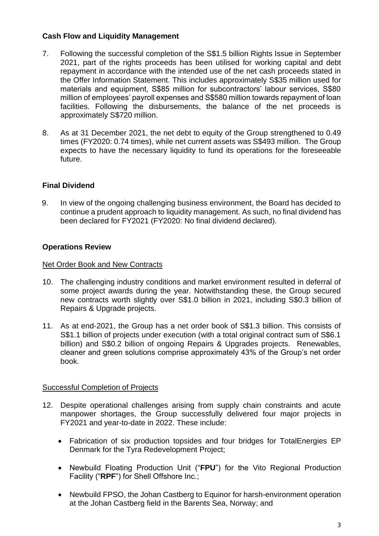## **Cash Flow and Liquidity Management**

- 7. Following the successful completion of the S\$1.5 billion Rights Issue in September 2021, part of the rights proceeds has been utilised for working capital and debt repayment in accordance with the intended use of the net cash proceeds stated in the Offer Information Statement. This includes approximately S\$35 million used for materials and equipment. S\$85 million for subcontractors' labour services. S\$80 million of employees' payroll expenses and S\$580 million towards repayment of loan facilities. Following the disbursements, the balance of the net proceeds is approximately S\$720 million.
- 8. As at 31 December 2021, the net debt to equity of the Group strengthened to 0.49 times (FY2020: 0.74 times), while net current assets was S\$493 million. The Group expects to have the necessary liquidity to fund its operations for the foreseeable future.

## **Final Dividend**

9. In view of the ongoing challenging business environment, the Board has decided to continue a prudent approach to liquidity management. As such, no final dividend has been declared for FY2021 (FY2020: No final dividend declared).

## **Operations Review**

### Net Order Book and New Contracts

- 10. The challenging industry conditions and market environment resulted in deferral of some project awards during the year. Notwithstanding these, the Group secured new contracts worth slightly over S\$1.0 billion in 2021, including S\$0.3 billion of Repairs & Upgrade projects.
- 11. As at end-2021, the Group has a net order book of S\$1.3 billion. This consists of S\$1.1 billion of projects under execution (with a total original contract sum of S\$6.1 billion) and S\$0.2 billion of ongoing Repairs & Upgrades projects. Renewables, cleaner and green solutions comprise approximately 43% of the Group's net order book.

## Successful Completion of Projects

- 12. Despite operational challenges arising from supply chain constraints and acute manpower shortages, the Group successfully delivered four major projects in FY2021 and year-to-date in 2022. These include:
	- Fabrication of six production topsides and four bridges for TotalEnergies EP Denmark for the Tyra Redevelopment Project;
	- Newbuild Floating Production Unit ("**FPU**") for the Vito Regional Production Facility ("**RPF**") for Shell Offshore Inc.;
	- Newbuild FPSO, the Johan Castberg to Equinor for harsh-environment operation at the Johan Castberg field in the Barents Sea, Norway; and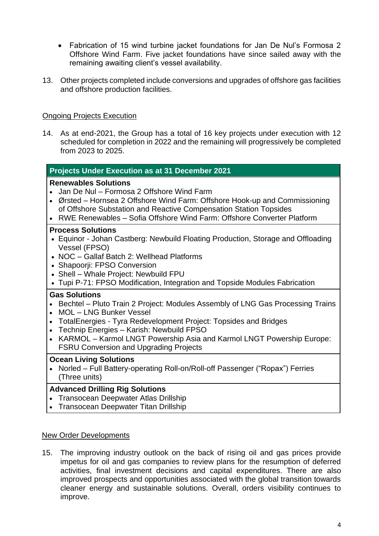- Fabrication of 15 wind turbine jacket foundations for Jan De Nul's Formosa 2 Offshore Wind Farm. Five jacket foundations have since sailed away with the remaining awaiting client's vessel availability.
- 13. Other projects completed include conversions and upgrades of offshore gas facilities and offshore production facilities.

## Ongoing Projects Execution

14. As at end-2021, the Group has a total of 16 key projects under execution with 12 scheduled for completion in 2022 and the remaining will progressively be completed from 2023 to 2025.

### **Projects Under Execution as at 31 December 2021**

### **Renewables Solutions**

- Jan De Nul Formosa 2 Offshore Wind Farm
- Ørsted Hornsea 2 Offshore Wind Farm: Offshore Hook-up and Commissioning of Offshore Substation and Reactive Compensation Station Topsides
- RWE Renewables Sofia Offshore Wind Farm: Offshore Converter Platform

### **Process Solutions**

- Equinor Johan Castberg: Newbuild Floating Production, Storage and Offloading Vessel (FPSO)
- NOC Gallaf Batch 2: Wellhead Platforms
- Shapoorji: FPSO Conversion
- Shell Whale Project: Newbuild FPU
- Tupi P-71: FPSO Modification, Integration and Topside Modules Fabrication

### **Gas Solutions**

- Bechtel Pluto Train 2 Project: Modules Assembly of LNG Gas Processing Trains
- MOL LNG Bunker Vessel
- TotalEnergies Tyra Redevelopment Project: Topsides and Bridges
- Technip Energies Karish: Newbuild FPSO
- KARMOL Karmol LNGT Powership Asia and Karmol LNGT Powership Europe: FSRU Conversion and Upgrading Projects

### **Ocean Living Solutions**

• Norled – Full Battery-operating Roll-on/Roll-off Passenger ("Ropax") Ferries (Three units)

### **Advanced Drilling Rig Solutions**

- Transocean Deepwater Atlas Drillship
- Transocean Deepwater Titan Drillship

#### New Order Developments

15. The improving industry outlook on the back of rising oil and gas prices provide impetus for oil and gas companies to review plans for the resumption of deferred activities, final investment decisions and capital expenditures. There are also improved prospects and opportunities associated with the global transition towards cleaner energy and sustainable solutions. Overall, orders visibility continues to improve.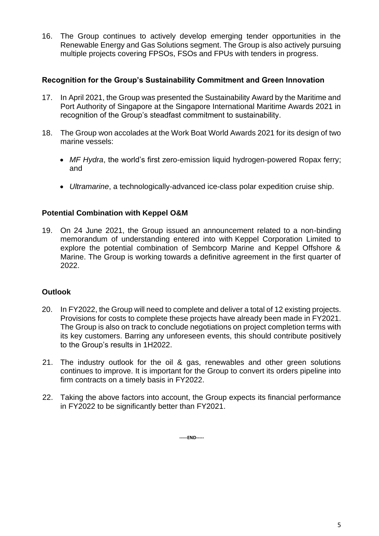16. The Group continues to actively develop emerging tender opportunities in the Renewable Energy and Gas Solutions segment. The Group is also actively pursuing multiple projects covering FPSOs, FSOs and FPUs with tenders in progress.

## **Recognition for the Group's Sustainability Commitment and Green Innovation**

- 17. In April 2021, the Group was presented the Sustainability Award by the Maritime and Port Authority of Singapore at the Singapore International Maritime Awards 2021 in recognition of the Group's steadfast commitment to sustainability.
- 18. The Group won accolades at the Work Boat World Awards 2021 for its design of two marine vessels:
	- *MF Hydra*, the world's first zero-emission liquid hydrogen-powered Ropax ferry; and
	- *Ultramarine*, a technologically-advanced ice-class polar expedition cruise ship.

## **Potential Combination with Keppel O&M**

19. On 24 June 2021, the Group issued an announcement related to a non-binding memorandum of understanding entered into with Keppel Corporation Limited to explore the potential combination of Sembcorp Marine and Keppel Offshore & Marine. The Group is working towards a definitive agreement in the first quarter of 2022.

# **Outlook**

- 20. In FY2022, the Group will need to complete and deliver a total of 12 existing projects. Provisions for costs to complete these projects have already been made in FY2021. The Group is also on track to conclude negotiations on project completion terms with its key customers. Barring any unforeseen events, this should contribute positively to the Group's results in 1H2022.
- 21. The industry outlook for the oil & gas, renewables and other green solutions continues to improve. It is important for the Group to convert its orders pipeline into firm contracts on a timely basis in FY2022.
- 22. Taking the above factors into account, the Group expects its financial performance in FY2022 to be significantly better than FY2021.

**-----END-----**